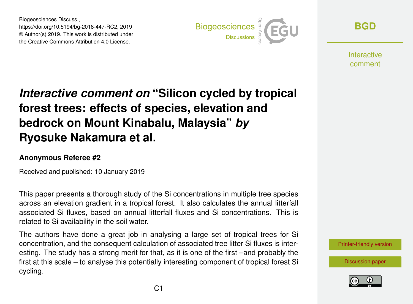Biogeosciences Discuss., https://doi.org/10.5194/bg-2018-447-RC2, 2019 © Author(s) 2019. This work is distributed under the Creative Commons Attribution 4.0 License.



**[BGD](https://www.biogeosciences-discuss.net/)**

**Interactive** comment

## *Interactive comment on* **"Silicon cycled by tropical forest trees: effects of species, elevation and bedrock on Mount Kinabalu, Malaysia"** *by* **Ryosuke Nakamura et al.**

## **Anonymous Referee #2**

Received and published: 10 January 2019

This paper presents a thorough study of the Si concentrations in multiple tree species across an elevation gradient in a tropical forest. It also calculates the annual litterfall associated Si fluxes, based on annual litterfall fluxes and Si concentrations. This is related to Si availability in the soil water.

The authors have done a great job in analysing a large set of tropical trees for Si concentration, and the consequent calculation of associated tree litter Si fluxes is interesting. The study has a strong merit for that, as it is one of the first –and probably the first at this scale – to analyse this potentially interesting component of tropical forest Si cycling.

[Printer-friendly version](https://www.biogeosciences-discuss.net/bg-2018-447/bg-2018-447-RC2-print.pdf)

[Discussion paper](https://www.biogeosciences-discuss.net/bg-2018-447)

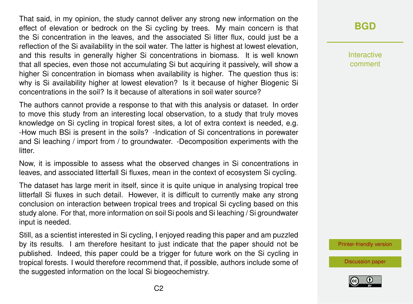That said, in my opinion, the study cannot deliver any strong new information on the effect of elevation or bedrock on the Si cycling by trees. My main concern is that the Si concentration in the leaves, and the associated Si litter flux, could just be a reflection of the Si availability in the soil water. The latter is highest at lowest elevation, and this results in generally higher Si concentrations in biomass. It is well known that all species, even those not accumulating Si but acquiring it passively, will show a higher Si concentration in biomass when availability is higher. The question thus is: why is Si availability higher at lowest elevation? Is it because of higher Biogenic Si concentrations in the soil? Is it because of alterations in soil water source?

The authors cannot provide a response to that with this analysis or dataset. In order to move this study from an interesting local observation, to a study that truly moves knowledge on Si cycling in tropical forest sites, a lot of extra context is needed, e.g. -How much BSi is present in the soils? -Indication of Si concentrations in porewater and Si leaching / import from / to groundwater. -Decomposition experiments with the litter.

Now, it is impossible to assess what the observed changes in Si concentrations in leaves, and associated litterfall Si fluxes, mean in the context of ecosystem Si cycling.

The dataset has large merit in itself, since it is quite unique in analysing tropical tree litterfall Si fluxes in such detail. However, it is difficult to currently make any strong conclusion on interaction between tropical trees and tropical Si cycling based on this study alone. For that, more information on soil Si pools and Si leaching / Si groundwater input is needed.

Still, as a scientist interested in Si cycling, I enjoyed reading this paper and am puzzled by its results. I am therefore hesitant to just indicate that the paper should not be published. Indeed, this paper could be a trigger for future work on the Si cycling in tropical forests. I would therefore recommend that, if possible, authors include some of the suggested information on the local Si biogeochemistry.

## **[BGD](https://www.biogeosciences-discuss.net/)**

Interactive comment

[Printer-friendly version](https://www.biogeosciences-discuss.net/bg-2018-447/bg-2018-447-RC2-print.pdf)

[Discussion paper](https://www.biogeosciences-discuss.net/bg-2018-447)